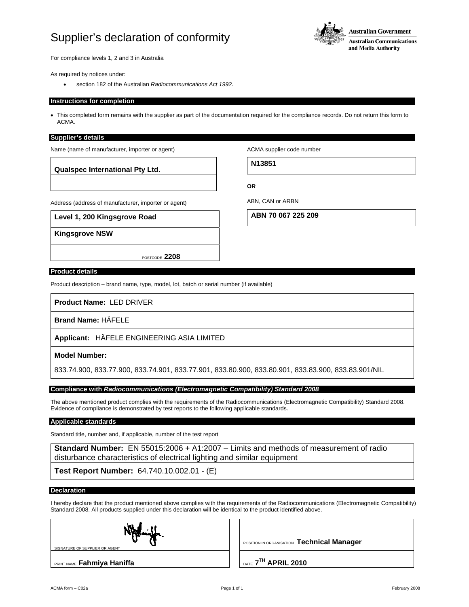## Supplier's declaration of conformity



For compliance levels 1, 2 and 3 in Australia

As required by notices under:

• section 182 of the Australian *Radiocommunications Act 1992*.

#### **Instructions for completion**

• This completed form remains with the supplier as part of the documentation required for the compliance records. Do not return this form to ACMA.

#### **Supplier's details**

Name (name of manufacturer, importer or agent)

**Qualspec International Pty Ltd.**

ACMA supplier code number

**N13851**

Address (address of manufacturer, importer or agent)

**Level 1, 200 Kingsgrove Road**

**Kingsgrove NSW**

**OR** 

ABN, CAN or ARBN

**ABN 70 067 225 209**

#### **Product details**

Product description – brand name, type, model, lot, batch or serial number (if available)

POSTCODE **2208**

**Product Name:** LED DRIVER

**Brand Name:** HÄFELE

**Applicant:** HÄFELE ENGINEERING ASIA LIMITED

#### **Model Number:**

833.74.900, 833.77.900, 833.74.901, 833.77.901, 833.80.900, 833.80.901, 833.83.900, 833.83.901/NIL

#### **Compliance with** *Radiocommunications (Electromagnetic Compatibility) Standard 2008*

The above mentioned product complies with the requirements of the Radiocommunications (Electromagnetic Compatibility) Standard 2008. Evidence of compliance is demonstrated by test reports to the following applicable standards.

## **Applicable standards**

Standard title, number and, if applicable, number of the test report

**Standard Number:** EN 55015:2006 + A1:2007 – Limits and methods of measurement of radio disturbance characteristics of electrical lighting and similar equipment

**Test Report Number:** 64.740.10.002.01 - (E)

### **Declaration**

I hereby declare that the product mentioned above complies with the requirements of the Radiocommunications (Electromagnetic Compatibility) Standard 2008. All products supplied under this declaration will be identical to the product identified above.

| Negling |
|---------|
|---------|

SIGNATURE OF SUPPLIER OR AGENT

PRINT NAME **Fahmiya Haniffa DATE 7<sup>TH</sup> APRIL 2010** 

POSITION IN ORGANISATION **Technical Manager**